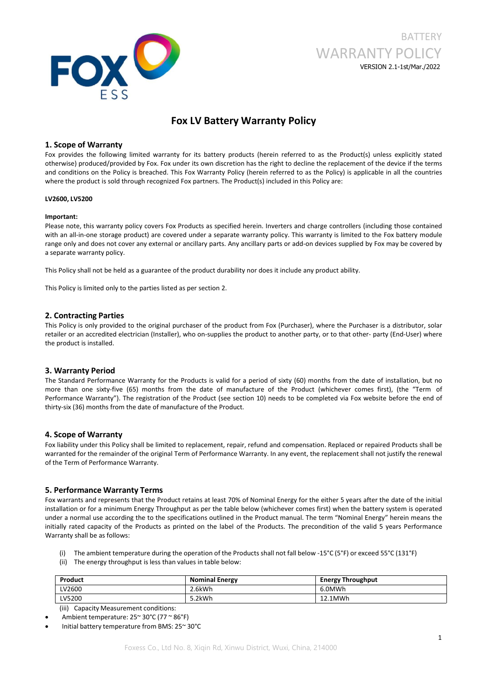

# BATTERY WARRANTY POLICY VERSION 2.1-1st/Mar./2022

## **Fox LV Battery Warranty Policy**

## **1. Scope of Warranty**

Fox provides the following limited warranty for its battery products (herein referred to as the Product(s) unless explicitly stated otherwise) produced/provided by Fox. Fox under its own discretion has the right to decline the replacement of the device ifthe terms and conditions on the Policy is breached. This Fox Warranty Policy (herein referred to as the Policy) is applicable in all the countries where the product is sold through recognized Fox partners. The Product(s) included in this Policy are:

#### **LV2600, LV5200**

#### **Important:**

Please note, this warranty policy covers Fox Products as specified herein. Inverters and charge controllers (including those contained with an all-in-one storage product) are covered under a separate warranty policy. This warranty is limited to the Fox battery module range only and does not cover any external or ancillary parts. Any ancillary parts or add-on devices supplied by Fox may be covered by a separate warranty policy.

This Policy shall not be held as a guarantee of the product durability nor does it include any product ability.

This Policy is limited only to the parties listed as per section 2.

## **2. Contracting Parties**

This Policy is only provided to the original purchaser of the product from Fox (Purchaser), where the Purchaser is a distributor, solar retailer or an accredited electrician (Installer), who on-supplies the product to another party, or to that other- party (End-User) where the product is installed.

### **3. Warranty Period**

The Standard Performance Warranty for the Products is valid for a period of sixty (60) months from the date of installation, but no more than one sixty-five (65) months from the date of manufacture of the Product (whichever comes first), (the "Term of Performance Warranty"). The registration of the Product (see section 10) needs to be completed via Fox website before the end of thirty-six (36) months from the date of manufacture of the Product.

### **4. Scope of Warranty**

Fox liability under this Policy shall be limited to replacement, repair, refund and compensation. Replaced or repaired Products shall be warranted for the remainder of the original Term of Performance Warranty. In any event, the replacement shall not justify the renewal of the Term of Performance Warranty.

## **5. Performance Warranty Terms**

Fox warrants and represents that the Product retains at least 70% of Nominal Energy for the either 5 years after the date of the initial installation or for a minimum Energy Throughput as per the table below (whichever comes first) when the battery system is operated under a normal use according the to the specifications outlined in the Product manual. The term "Nominal Energy" herein means the initially rated capacity of the Products as printed on the label of the Products. The precondition of the valid 5 years Performance Warranty shall be as follows:

- (i) The ambient temperature during the operation of the Products shall not fall below -15°C (5°F) or exceed 55°C (131°F)
- (ii) The energy throughput is less than values in table below:

| Product | <b>Nominal Energy</b> | <b>Energy Throughput</b> |
|---------|-----------------------|--------------------------|
| LV2600  | 2.6kWh                | 6.0MWh                   |
| LV5200  | 5.2kWh                | 12.1MWh                  |

(iii) Capacity Measurement conditions:

Initial battery temperature from BMS: 25~ 30°C

Ambient temperature: 25~ 30°C (77 ~ 86°F)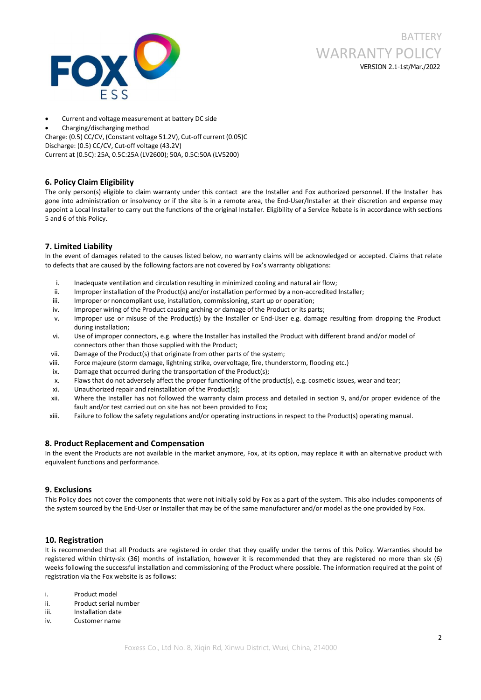



- Current and voltage measurement at battery DC side
- Charging/discharging method

Charge: (0.5) CC/CV, (Constant voltage 51.2V), Cut-off current (0.05)C Discharge: (0.5) CC/CV, Cut-off voltage (43.2V)

Current at (0.5C): 25A, 0.5C:25A (LV2600); 50A, 0.5C:50A (LV5200)

## **6. Policy Claim Eligibility**

The only person(s) eligible to claim warranty under this contact are the Installer and Fox authorized personnel. If the Installer has gone into administration or insolvency or ifthe site is in a remote area, the End-User/Installer at their discretion and expense may appoint a Local Installer to carry out the functions of the original Installer. Eligibility of a Service Rebate is in accordance with sections 5 and 6 of this Policy.

## **7. Limited Liability**

In the event of damages related to the causes listed below, no warranty claims will be acknowledged or accepted. Claims that relate to defects that are caused by the following factors are not covered by Fox's warranty obligations:

- i. Inadequate ventilation and circulation resulting in minimized cooling and natural air flow;
- ii. Improper installation of the Product(s) and/or installation performed by a non-accredited Installer;
- iii. Improper or noncompliant use, installation, commissioning, start up or operation;
- iv. Improper wiring of the Product causing arching or damage of the Product or its parts;
- v. Improper use or misuse of the Product(s) by the Installer or End-User e.g.damage resulting from dropping the Product during installation;
- vi. Use of improper connectors, e.g. where the Installer has installed the Product with different brand and/or model of connectors other than those supplied with the Product;
- vii. Damage of the Product(s) that originate from other parts of the system;
- viii. Force majeure (storm damage, lightning strike, overvoltage, fire, thunderstorm, flooding etc.)
- ix. Damage that occurred during the transportation of the Product(s);
- x. Flaws that do not adversely affect the proper functioning of the product(s),e.g. cosmetic issues, wear and tear;
- xi. Unauthorized repair and reinstallation of the Product(s);
- xii. Where the Installer has not followed the warranty claim process and detailed in section 9, and/or proper evidence of the fault and/or test carried out on site has not been provided to Fox;
- xiii. Failure to follow the safety regulations and/or operating instructions in respect to the Product(s) operating manual.

## **8. Product Replacement and Compensation**

In the event the Products are not available in the market anymore, Fox, at its option, may replace it with an alternative product with equivalent functions and performance.

## **9. Exclusions**

This Policy does not cover the components that were not initially sold by Fox as a part of the system. This also includes components of the system sourced by the End-User or Installer that may be of the same manufacturer and/or model as the one provided by Fox.

### **10. Registration**

It is recommended that all Products are registered in order that they qualify under the terms of this Policy. Warranties should be registered within thirty-six (36) months of installation, however it is recommended that they are registered no more than six (6) weeks following the successful installation and commissioning of the Product where possible. The information required at the point of registration via the Fox website is as follows:

- i. Product model
- ii. Product serial number
- iii. Installation date
- iv. Customer name